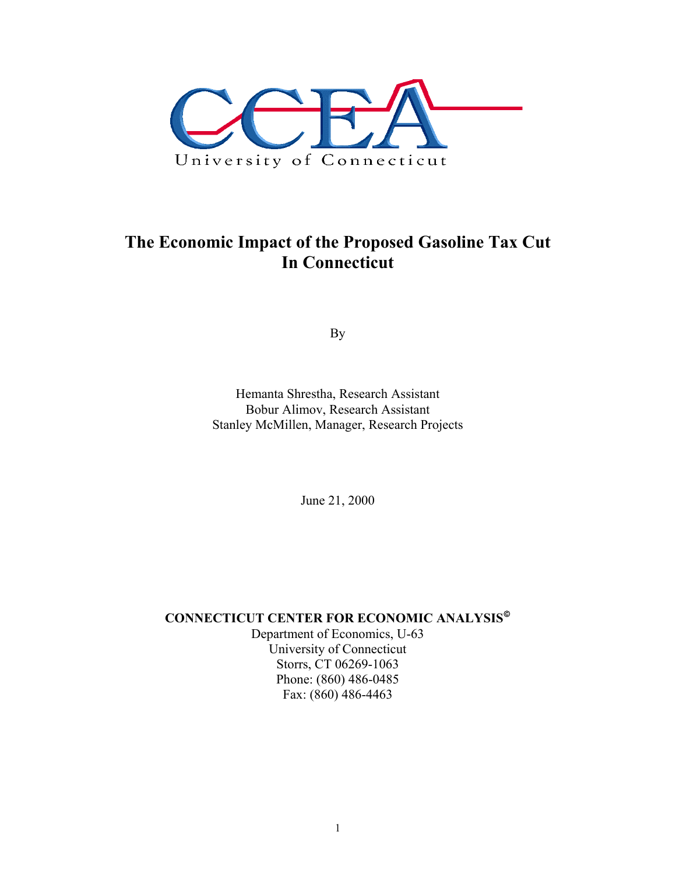

# **The Economic Impact of the Proposed Gasoline Tax Cut In Connecticut**

By

Hemanta Shrestha, Research Assistant Bobur Alimov, Research Assistant Stanley McMillen, Manager, Research Projects

June 21, 2000

# **CONNECTICUT CENTER FOR ECONOMIC ANALYSIS**

Department of Economics, U-63 University of Connecticut Storrs, CT 06269-1063 Phone: (860) 486-0485 Fax: (860) 486-4463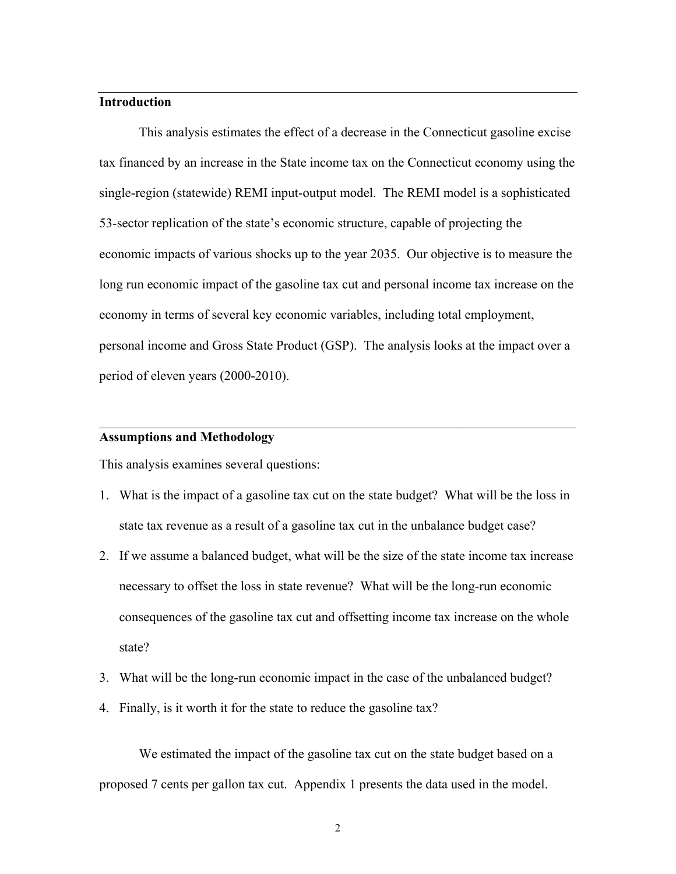#### **Introduction**

 This analysis estimates the effect of a decrease in the Connecticut gasoline excise tax financed by an increase in the State income tax on the Connecticut economy using the single-region (statewide) REMI input-output model. The REMI model is a sophisticated 53-sector replication of the state's economic structure, capable of projecting the economic impacts of various shocks up to the year 2035. Our objective is to measure the long run economic impact of the gasoline tax cut and personal income tax increase on the economy in terms of several key economic variables, including total employment, personal income and Gross State Product (GSP). The analysis looks at the impact over a period of eleven years (2000-2010).

### **Assumptions and Methodology**

This analysis examines several questions:

1. What is the impact of a gasoline tax cut on the state budget? What will be the loss in state tax revenue as a result of a gasoline tax cut in the unbalance budget case?

 $\mathcal{L}_\text{max}$  , and the contribution of the contribution of the contribution of the contribution of the contribution of the contribution of the contribution of the contribution of the contribution of the contribution of t

- 2. If we assume a balanced budget, what will be the size of the state income tax increase necessary to offset the loss in state revenue? What will be the long-run economic consequences of the gasoline tax cut and offsetting income tax increase on the whole state?
- 3. What will be the long-run economic impact in the case of the unbalanced budget?
- 4. Finally, is it worth it for the state to reduce the gasoline tax?

 We estimated the impact of the gasoline tax cut on the state budget based on a proposed 7 cents per gallon tax cut. Appendix 1 presents the data used in the model.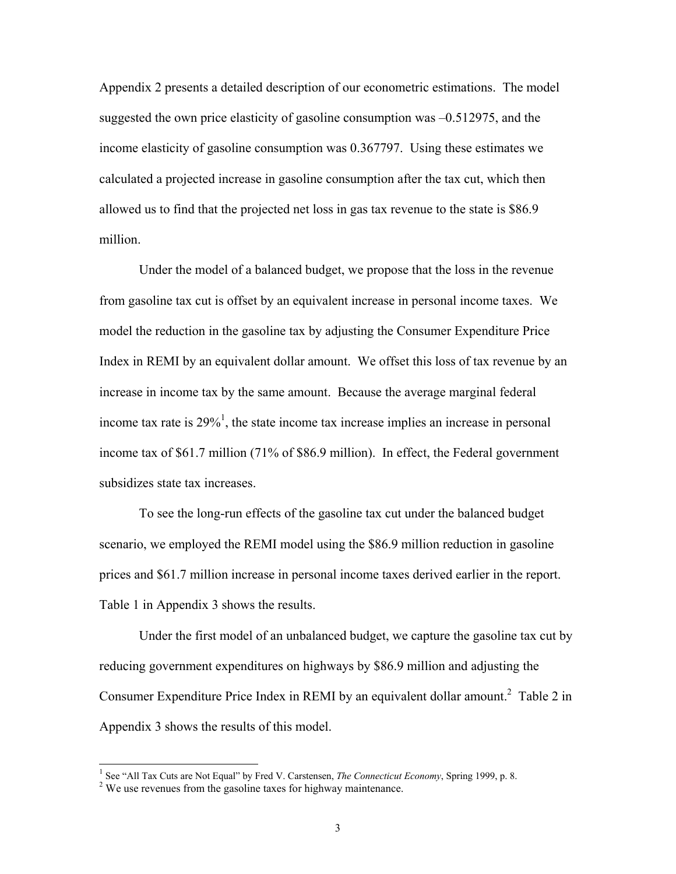Appendix 2 presents a detailed description of our econometric estimations. The model suggested the own price elasticity of gasoline consumption was –0.512975, and the income elasticity of gasoline consumption was 0.367797. Using these estimates we calculated a projected increase in gasoline consumption after the tax cut, which then allowed us to find that the projected net loss in gas tax revenue to the state is \$86.9 million.

 Under the model of a balanced budget, we propose that the loss in the revenue from gasoline tax cut is offset by an equivalent increase in personal income taxes. We model the reduction in the gasoline tax by adjusting the Consumer Expenditure Price Index in REMI by an equivalent dollar amount. We offset this loss of tax revenue by an increase in income tax by the same amount. Because the average marginal federal income tax rate is  $29\%$ <sup>1</sup>, the state income tax increase implies an increase in personal income tax of \$61.7 million (71% of \$86.9 million). In effect, the Federal government subsidizes state tax increases.

 To see the long-run effects of the gasoline tax cut under the balanced budget scenario, we employed the REMI model using the \$86.9 million reduction in gasoline prices and \$61.7 million increase in personal income taxes derived earlier in the report. Table 1 in Appendix 3 shows the results.

 Under the first model of an unbalanced budget, we capture the gasoline tax cut by reducing government expenditures on highways by \$86.9 million and adjusting the Consumer Expenditure Price Index in REMI by an equivalent dollar amount.<sup>2</sup> Table 2 in Appendix 3 shows the results of this model.

 $\overline{a}$ 

<sup>&</sup>lt;sup>1</sup> See "All Tax Cuts are Not Equal" by Fred V. Carstensen, *The Connecticut Economy*, Spring 1999, p. 8.  $\frac{2 \text{ WQ}}{2 \text{ WQ}}$  was revenues from the gasoline taxes for highway maintanance.

<sup>&</sup>lt;sup>2</sup> We use revenues from the gasoline taxes for highway maintenance.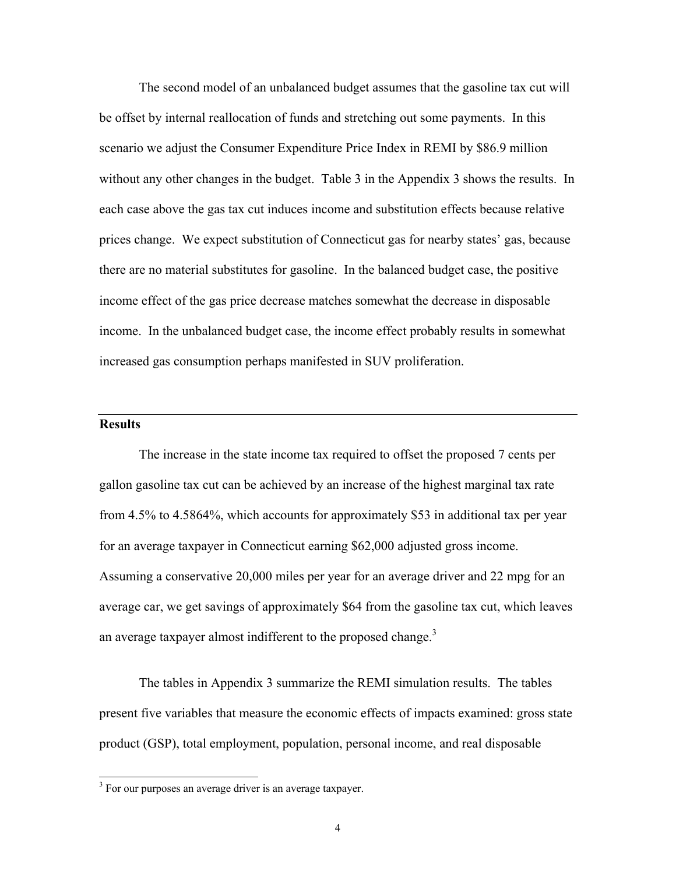The second model of an unbalanced budget assumes that the gasoline tax cut will be offset by internal reallocation of funds and stretching out some payments. In this scenario we adjust the Consumer Expenditure Price Index in REMI by \$86.9 million without any other changes in the budget. Table 3 in the Appendix 3 shows the results. In each case above the gas tax cut induces income and substitution effects because relative prices change. We expect substitution of Connecticut gas for nearby states' gas, because there are no material substitutes for gasoline. In the balanced budget case, the positive income effect of the gas price decrease matches somewhat the decrease in disposable income. In the unbalanced budget case, the income effect probably results in somewhat increased gas consumption perhaps manifested in SUV proliferation.

### **Results**

 $\overline{a}$ 

 The increase in the state income tax required to offset the proposed 7 cents per gallon gasoline tax cut can be achieved by an increase of the highest marginal tax rate from 4.5% to 4.5864%, which accounts for approximately \$53 in additional tax per year for an average taxpayer in Connecticut earning \$62,000 adjusted gross income. Assuming a conservative 20,000 miles per year for an average driver and 22 mpg for an average car, we get savings of approximately \$64 from the gasoline tax cut, which leaves an average taxpayer almost indifferent to the proposed change.<sup>3</sup>

 The tables in Appendix 3 summarize the REMI simulation results. The tables present five variables that measure the economic effects of impacts examined: gross state product (GSP), total employment, population, personal income, and real disposable

 $3$  For our purposes an average driver is an average taxpayer.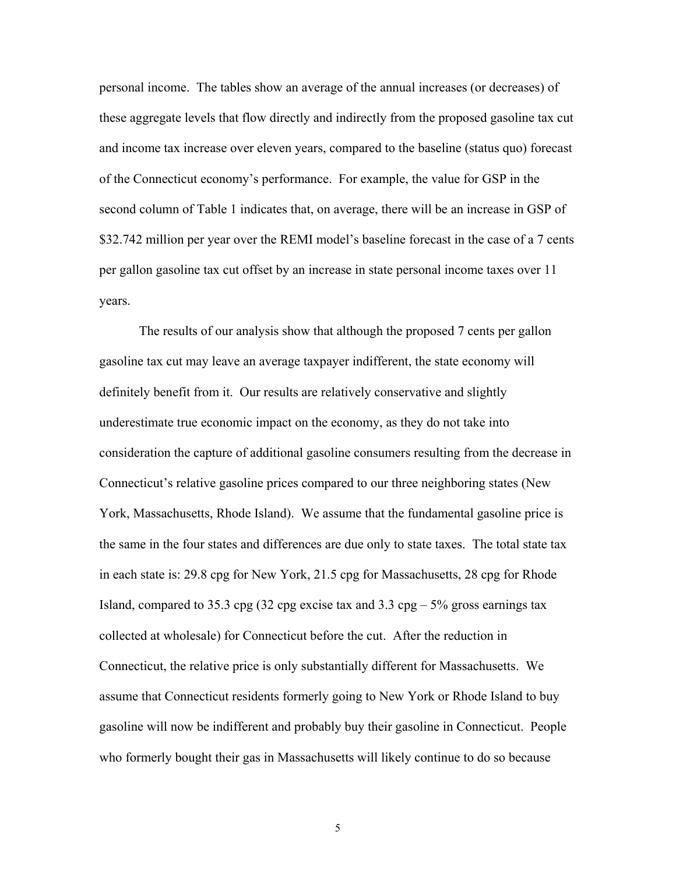personal income. The tables show an average of the annual increases (or decreases) of these aggregate levels that flow directly and indirectly from the proposed gasoline tax cut and income tax increase over eleven years, compared to the baseline (status quo) forecast of the Connecticut economy's performance. For example, the value for GSP in the second column of Table 1 indicates that, on average, there will be an increase in GSP of \$32.742 million per year over the REMI model's baseline forecast in the case of a 7 cents per gallon gasoline tax cut offset by an increase in state personal income taxes over 11 years.

 The results of our analysis show that although the proposed 7 cents per gallon gasoline tax cut may leave an average taxpayer indifferent, the state economy will definitely benefit from it. Our results are relatively conservative and slightly underestimate true economic impact on the economy, as they do not take into consideration the capture of additional gasoline consumers resulting from the decrease in Connecticut's relative gasoline prices compared to our three neighboring states (New York, Massachusetts, Rhode Island). We assume that the fundamental gasoline price is the same in the four states and differences are due only to state taxes. The total state tax in each state is: 29.8 cpg for New York, 21.5 cpg for Massachusetts, 28 cpg for Rhode Island, compared to 35.3 cpg (32 cpg excise tax and 3.3 cpg  $-5\%$  gross earnings tax collected at wholesale) for Connecticut before the cut. After the reduction in Connecticut, the relative price is only substantially different for Massachusetts. We assume that Connecticut residents formerly going to New York or Rhode Island to buy gasoline will now be indifferent and probably buy their gasoline in Connecticut. People who formerly bought their gas in Massachusetts will likely continue to do so because

5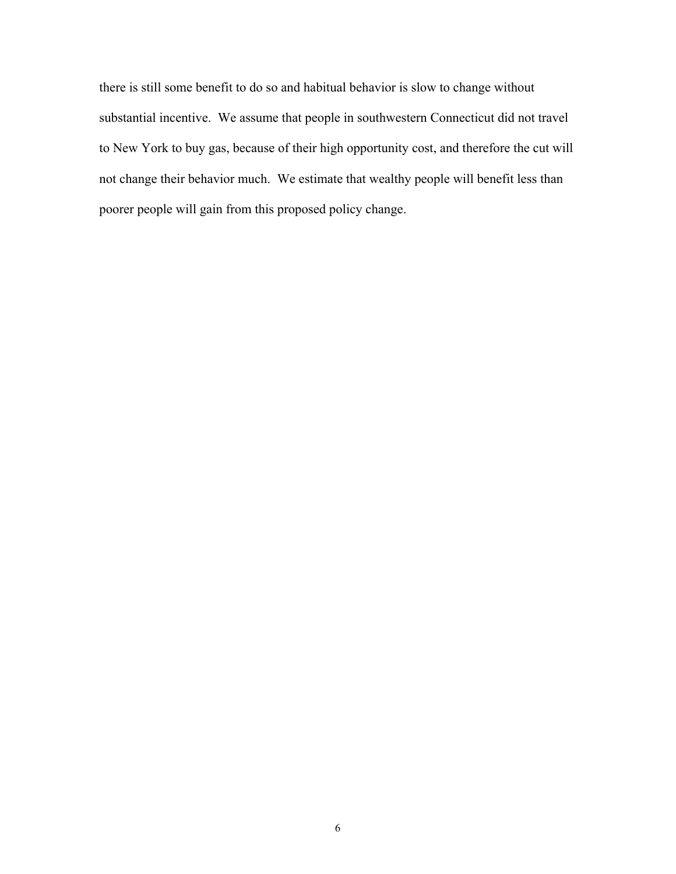there is still some benefit to do so and habitual behavior is slow to change without substantial incentive. We assume that people in southwestern Connecticut did not travel to New York to buy gas, because of their high opportunity cost, and therefore the cut will not change their behavior much. We estimate that wealthy people will benefit less than poorer people will gain from this proposed policy change.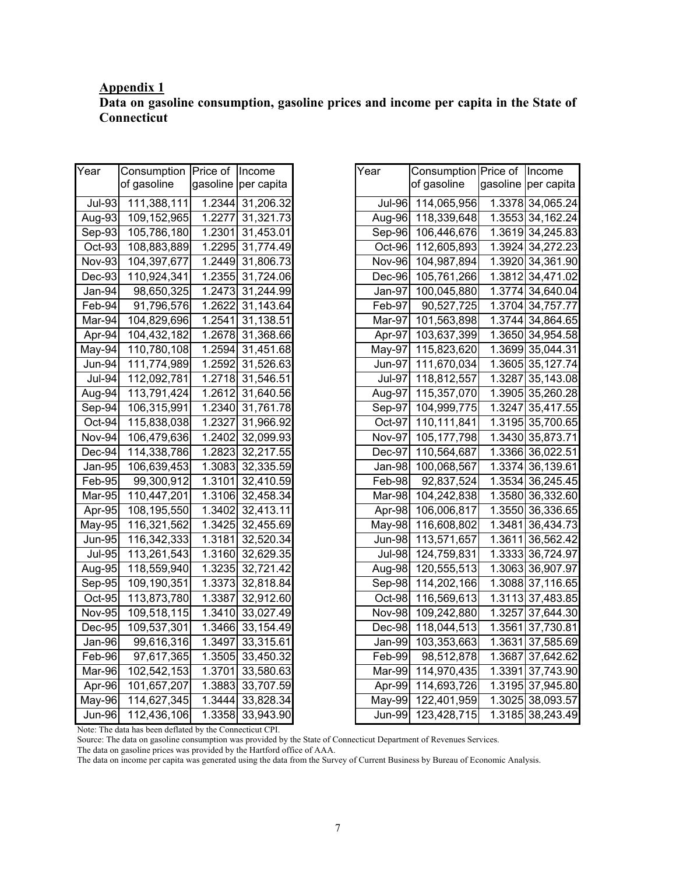#### **Appendix 1 Data on gasoline consumption, gasoline prices and income per capita in the State of Connecticut**

| Year          | Consumption | Price of | Income     |
|---------------|-------------|----------|------------|
|               | of gasoline | gasoline | per capita |
| <b>Jul-93</b> | 111,388,111 | 1.2344   | 31,206.32  |
| Aug-93        | 109,152,965 | 1.2277   | 31,321.73  |
| Sep-93        | 105,786,180 | 1.2301   | 31,453.01  |
| Oct-93        | 108,883,889 | 1.2295   | 31,774.49  |
| Nov-93        | 104,397,677 | 1.2449   | 31,806.73  |
| Dec-93        | 110,924,341 | 1.2355   | 31,724.06  |
| Jan-94        | 98,650,325  | 1.2473   | 31,244.99  |
| Feb-94        | 91,796,576  | 1.2622   | 31,143.64  |
| Mar-94        | 104,829,696 | 1.2541   | 31,138.51  |
| Apr-94        | 104,432,182 | 1.2678   | 31,368.66  |
| May-94        | 110,780,108 | 1.2594   | 31,451.68  |
| Jun-94        | 111,774,989 | 1.2592   | 31,526.63  |
| Jul-94        | 112,092,781 | 1.2718   | 31,546.51  |
| Aug-94        | 113,791,424 | 1.2612   | 31,640.56  |
| Sep-94        | 106,315,991 | 1.2340   | 31,761.78  |
| Oct-94        | 115,838,038 | 1.2327   | 31,966.92  |
| Nov-94        | 106,479,636 | 1.2402   | 32,099.93  |
| Dec-94        | 114,338,786 | 1.2823   | 32,217.55  |
| Jan-95        | 106,639,453 | 1.3083   | 32,335.59  |
| Feb-95        | 99,300,912  | 1.3101   | 32,410.59  |
| Mar-95        | 110,447,201 | 1.3106   | 32,458.34  |
| Apr-95        | 108,195,550 | 1.3402   | 32,413.11  |
| May-95        | 116,321,562 | 1.3425   | 32,455.69  |
| <b>Jun-95</b> | 116,342,333 | 1.3181   | 32,520.34  |
| <b>Jul-95</b> | 113,261,543 | 1.3160   | 32,629.35  |
| Aug-95        | 118,559,940 | 1.3235   | 32,721.42  |
| Sep-95        | 109,190,351 | 1.3373   | 32,818.84  |
| Oct-95        | 113,873,780 | 1.3387   | 32,912.60  |
| <b>Nov-95</b> | 109,518,115 | 1.3410   | 33,027.49  |
| Dec-95        | 109,537,301 | 1.3466   | 33,154.49  |
| Jan-96        | 99,616,316  | 1.3497   | 33,315.61  |
| Feb-96        | 97,617,365  | 1.3505   | 33,450.32  |
| Mar-96        | 102,542,153 | 1.3701   | 33,580.63  |
| Apr-96        | 101,657,207 | 1.3883   | 33,707.59  |
| May-96        | 114,627,345 | 1.3444   | 33,828.34  |
| Jun-96        | 112,436,106 | 1.3358   | 33,943.90  |

| Year                       | Consumption Price of |          | Income           |
|----------------------------|----------------------|----------|------------------|
|                            | of gasoline          | gasoline | per capita       |
| <b>Jul-96</b>              | 114,065,956          | 1.3378   | 34,065.24        |
| $\overline{\text{Aug-96}}$ | 118,339,648          | 1.3553   | 34,162.24        |
| $Sep-96$                   | 106,446,676          | 1.3619   | 34,245.83        |
| Oct-96                     | 112,605,893          | 1.3924   | 34,272.23        |
| <b>Nov-96</b>              | 104,987,894          | 1.3920   | 34,361.90        |
| Dec-96                     | 105,761,266          | 1.3812   | 34,471.02        |
| Jan-97                     | 100,045,880          | 1.3774   | 34,640.04        |
| Feb-97                     | 90,527,725           | 1.3704   | 34,757.77        |
| Mar-97                     | 101,563,898          | 1.3744   | 34,864.65        |
| Apr- $97$                  | 103,637,399          | 1.3650   | 34,954.58        |
| $May-97$                   | 115,823,620          | 1.3699   | 35,044.31        |
| $Jun-97$                   | 111,670,034          | 1.3605   | 35,127.74        |
| <b>Jul-97</b>              | 118,812,557          | 1.3287   | 35,143.08        |
| Aug-97                     | 115,357,070          | 1.3905   | 35,260.28        |
| Sep-97                     | 104,999,775          | 1.3247   | 35,417.55        |
| Oct-97                     | 110,111,841          | 1.3195   | 35,700.65        |
| <b>Nov-97</b>              | 105, 177, 798        | 1.3430   | 35,873.71        |
| Dec-97                     | 110,564,687          | 1.3366   | 36,022.51        |
| Jan-98                     | 100,068,567          | 1.3374   | 36,139.61        |
| Feb-98                     | 92,837,524           | 1.3534   | 36,245.45        |
| Mar-98                     | 104,242,838          | 1.3580   | 36,332.60        |
| Apr-98                     | 106,006,817          | 1.3550   | 36,336.65        |
| $May-98$                   | 116,608,802          | 1.3481   | 36,434.73        |
| <b>Jun-98</b>              | 113,571,657          | 1.3611   | 36,562.42        |
| <b>Jul-98</b>              | 124,759,831          | 1.3333   | 36,724.97        |
| Aug-98                     | 120,555,513          | 1.3063   | 36,907.97        |
| $Sep-98$                   | 114,202,166          | 1.3088   | 37,116.65        |
| Oct-98                     | 116,569,613          | 1.3113   | 37,483.85        |
| <b>Nov-98</b>              | 109,242,880          | 1.3257   | 37,644.30        |
| Dec-98                     | 118,044,513          | 1.3561   | 37,730.81        |
| Jan-99                     | 103,353,663          | 1.3631   | 37,585.69        |
| Feb-99                     | 98,512,878           | 1.3687   | 37,642.62        |
| Mar-99                     | 114,970,435          | 1.3391   | 37,743.90        |
| Apr-99                     | 114,693,726          | 1.3195   | 37,945.80        |
| May-99                     | 122,401,959          | 1.3025   | 38,093.57        |
| <b>Jun-99</b>              | 123,428,715          |          | 1.3185 38,243.49 |

Note: The data has been deflated by the Connecticut CPI.

Source: The data on gasoline consumption was provided by the State of Connecticut Department of Revenues Services.

The data on gasoline prices was provided by the Hartford office of AAA.

The data on income per capita was generated using the data from the Survey of Current Business by Bureau of Economic Analysis.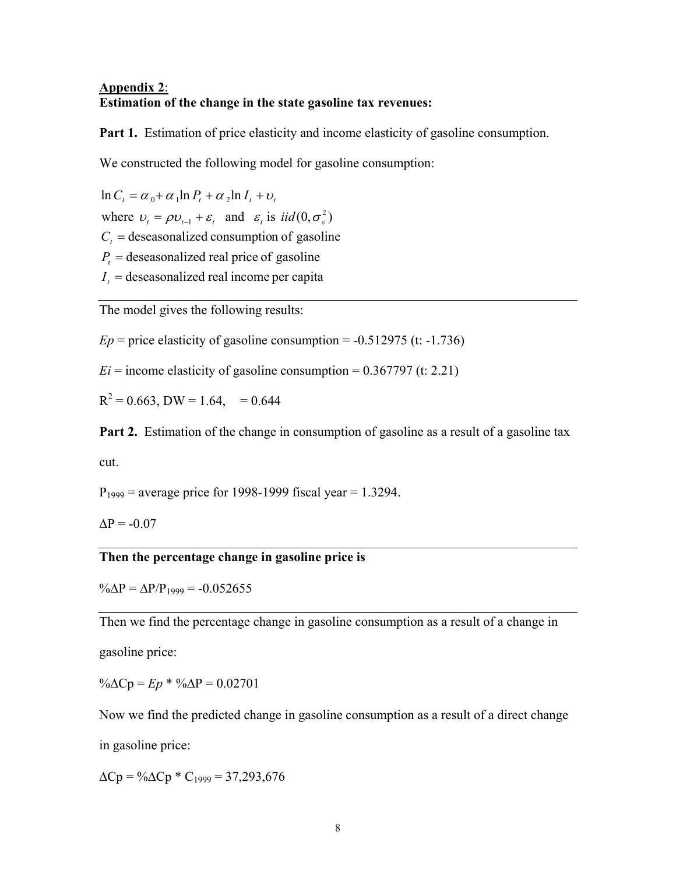### **Appendix 2**: **Estimation of the change in the state gasoline tax revenues:**

Part 1. Estimation of price elasticity and income elasticity of gasoline consumption.

We constructed the following model for gasoline consumption:

 $I_t$  = deseasonalized real income per capita  $P_t$  = deseasonalized real price of gasoline  $C_t$  = deseasonalized consumption of gasoline where  $v_t = \rho v_{t-1} + \varepsilon_t$  and  $\varepsilon_t$  is  $iid(0, \sigma_s^2)$  $\ln C_t = \alpha_0 + \alpha_1 \ln P_t + \alpha_2 \ln I_t + v_t$  $v_t = \rho v_{t-1} + \varepsilon_t$  and  $\varepsilon_t$  is  $iid(0, \sigma_s^2)$ 

The model gives the following results:

 $Ep$  = price elasticity of gasoline consumption =  $-0.512975$  (t:  $-1.736$ )

 $Ei =$  income elasticity of gasoline consumption =  $0.367797$  (t: 2.21)

 $R^2 = 0.663$ , DW = 1.64, = 0.644

**Part 2.** Estimation of the change in consumption of gasoline as a result of a gasoline tax

cut.

 $P_{1999}$  = average price for 1998-1999 fiscal year = 1.3294.

 $\Delta P = -0.07$ 

### **Then the percentage change in gasoline price is**

 $\% \Delta P = \Delta P / P_{1999} = -0.052655$ 

Then we find the percentage change in gasoline consumption as a result of a change in

gasoline price:

 $\% \triangle Cp = Ep * \% \triangle P = 0.02701$ 

Now we find the predicted change in gasoline consumption as a result of a direct change

in gasoline price:

 $\Delta$ Cp = % $\Delta$ Cp \* C<sub>1999</sub> = 37,293,676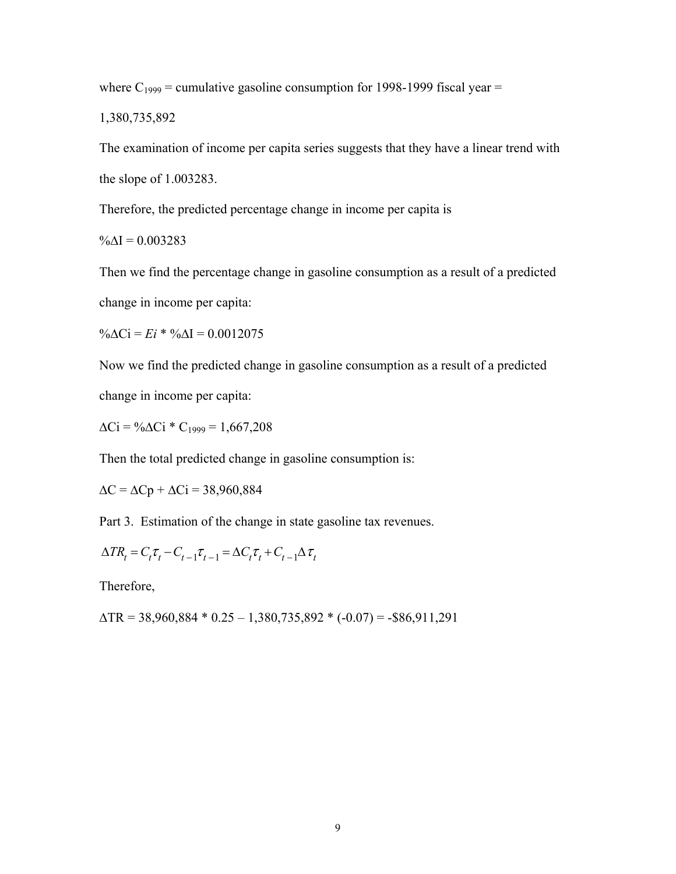where  $C_{1999}$  = cumulative gasoline consumption for 1998-1999 fiscal year =

1,380,735,892

The examination of income per capita series suggests that they have a linear trend with the slope of 1.003283.

Therefore, the predicted percentage change in income per capita is

 $\% \Delta I = 0.003283$ 

Then we find the percentage change in gasoline consumption as a result of a predicted change in income per capita:

%∆Ci = *Ei* \* %∆I = 0.0012075

Now we find the predicted change in gasoline consumption as a result of a predicted change in income per capita:

 $\Delta$ Ci = % $\Delta$ Ci \* C<sub>1999</sub> = 1,667,208

Then the total predicted change in gasoline consumption is:

 $\Delta C = \Delta Cp + \Delta Ci = 38,960,884$ 

Part 3. Estimation of the change in state gasoline tax revenues.

$$
\Delta TR_t = C_t \tau_t - C_{t-1} \tau_{t-1} = \Delta C_t \tau_t + C_{t-1} \Delta \tau_t
$$

Therefore,

 $\triangle$ TR = 38,960,884 \* 0.25 – 1,380,735,892 \* (-0.07) = -\$86,911,291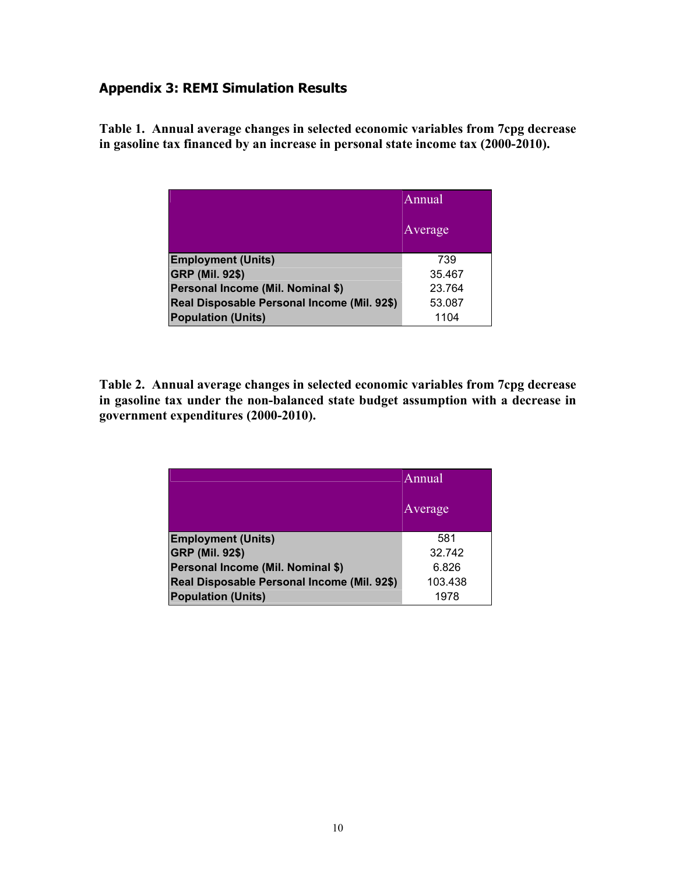## **Appendix 3: REMI Simulation Results**

**Table 1. Annual average changes in selected economic variables from 7cpg decrease in gasoline tax financed by an increase in personal state income tax (2000-2010).** 

|                                             | Annual  |
|---------------------------------------------|---------|
|                                             | Average |
| <b>Employment (Units)</b>                   | 739     |
| <b>GRP (Mil. 92\$)</b>                      | 35.467  |
| Personal Income (Mil. Nominal \$)           | 23.764  |
| Real Disposable Personal Income (Mil. 92\$) | 53.087  |
| <b>Population (Units)</b>                   | 1104    |

**Table 2. Annual average changes in selected economic variables from 7cpg decrease in gasoline tax under the non-balanced state budget assumption with a decrease in government expenditures (2000-2010).** 

|                                             | Annual  |  |
|---------------------------------------------|---------|--|
|                                             | Average |  |
| <b>Employment (Units)</b>                   | 581     |  |
| <b>GRP (Mil. 92\$)</b>                      | 32.742  |  |
| Personal Income (Mil. Nominal \$)           | 6.826   |  |
| Real Disposable Personal Income (Mil. 92\$) | 103.438 |  |
| <b>Population (Units)</b>                   | 1978    |  |